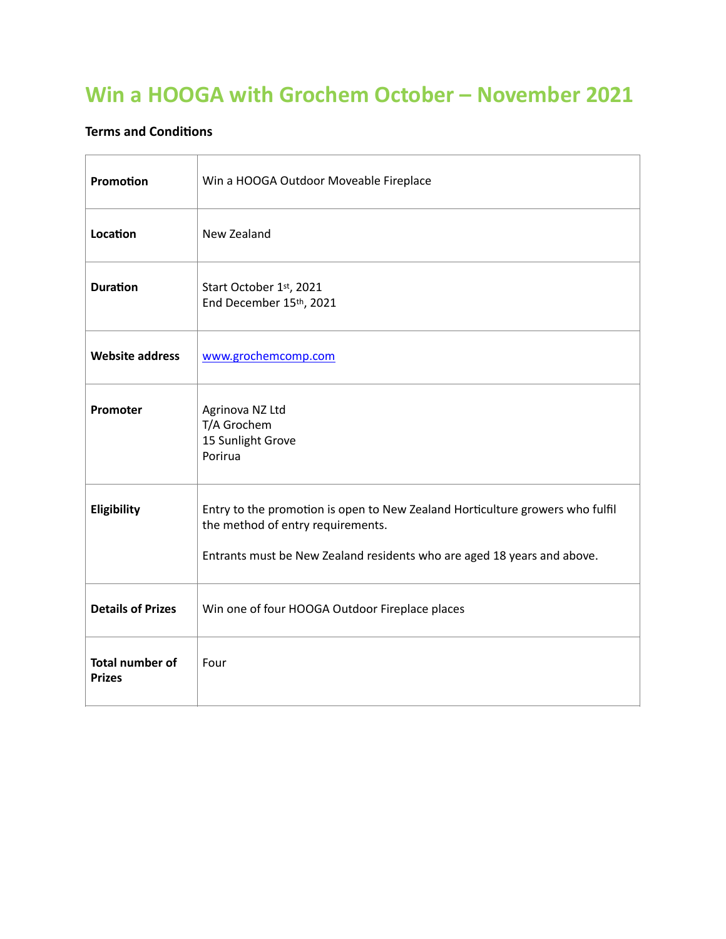## **Win a HOOGA with Grochem October – November 2021**

## **Terms and Conditions**

| Promotion                               | Win a HOOGA Outdoor Moveable Fireplace                                                                                                                                                        |
|-----------------------------------------|-----------------------------------------------------------------------------------------------------------------------------------------------------------------------------------------------|
| Location                                | New Zealand                                                                                                                                                                                   |
| <b>Duration</b>                         | Start October 1st, 2021<br>End December 15th, 2021                                                                                                                                            |
| <b>Website address</b>                  | www.grochemcomp.com                                                                                                                                                                           |
| Promoter                                | Agrinova NZ Ltd<br>T/A Grochem<br>15 Sunlight Grove<br>Porirua                                                                                                                                |
| Eligibility                             | Entry to the promotion is open to New Zealand Horticulture growers who fulfil<br>the method of entry requirements.<br>Entrants must be New Zealand residents who are aged 18 years and above. |
| <b>Details of Prizes</b>                | Win one of four HOOGA Outdoor Fireplace places                                                                                                                                                |
| <b>Total number of</b><br><b>Prizes</b> | Four                                                                                                                                                                                          |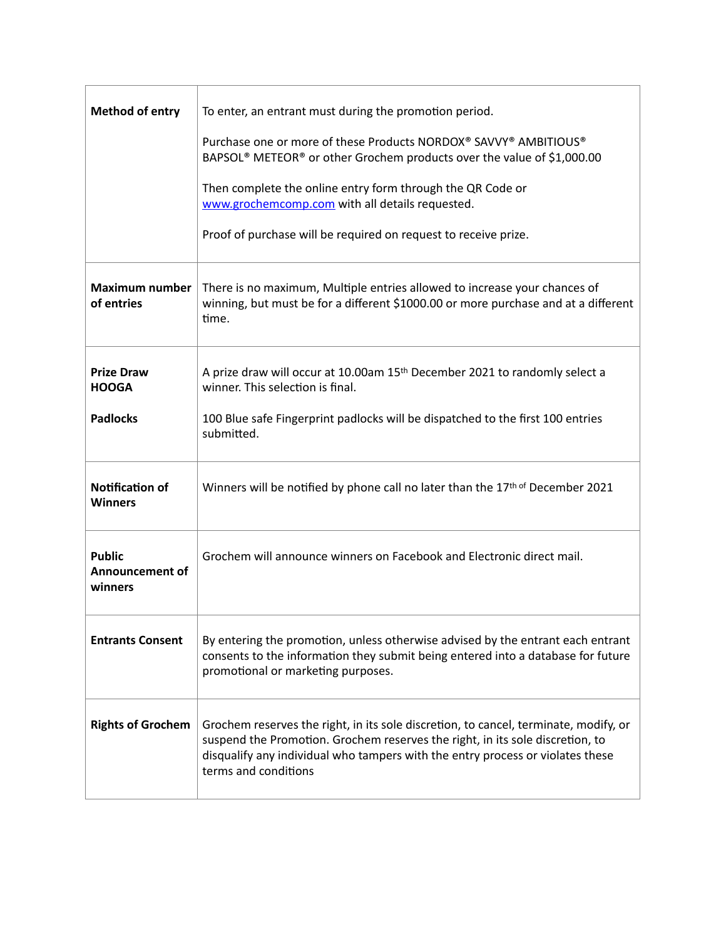| <b>Method of entry</b>                               | To enter, an entrant must during the promotion period.<br>Purchase one or more of these Products NORDOX® SAVVY® AMBITIOUS®<br>BAPSOL <sup>®</sup> METEOR <sup>®</sup> or other Grochem products over the value of \$1,000.00<br>Then complete the online entry form through the QR Code or<br>www.grochemcomp.com with all details requested.<br>Proof of purchase will be required on request to receive prize. |
|------------------------------------------------------|------------------------------------------------------------------------------------------------------------------------------------------------------------------------------------------------------------------------------------------------------------------------------------------------------------------------------------------------------------------------------------------------------------------|
| Maximum number<br>of entries                         | There is no maximum, Multiple entries allowed to increase your chances of<br>winning, but must be for a different \$1000.00 or more purchase and at a different<br>time.                                                                                                                                                                                                                                         |
| <b>Prize Draw</b><br><b>HOOGA</b><br><b>Padlocks</b> | A prize draw will occur at 10.00am 15 <sup>th</sup> December 2021 to randomly select a<br>winner. This selection is final.<br>100 Blue safe Fingerprint padlocks will be dispatched to the first 100 entries<br>submitted.                                                                                                                                                                                       |
| <b>Notification of</b><br><b>Winners</b>             | Winners will be notified by phone call no later than the 17th of December 2021                                                                                                                                                                                                                                                                                                                                   |
| <b>Public</b><br><b>Announcement of</b><br>winners   | Grochem will announce winners on Facebook and Electronic direct mail.                                                                                                                                                                                                                                                                                                                                            |
| <b>Entrants Consent</b>                              | By entering the promotion, unless otherwise advised by the entrant each entrant<br>consents to the information they submit being entered into a database for future<br>promotional or marketing purposes.                                                                                                                                                                                                        |
| <b>Rights of Grochem</b>                             | Grochem reserves the right, in its sole discretion, to cancel, terminate, modify, or<br>suspend the Promotion. Grochem reserves the right, in its sole discretion, to<br>disqualify any individual who tampers with the entry process or violates these<br>terms and conditions                                                                                                                                  |